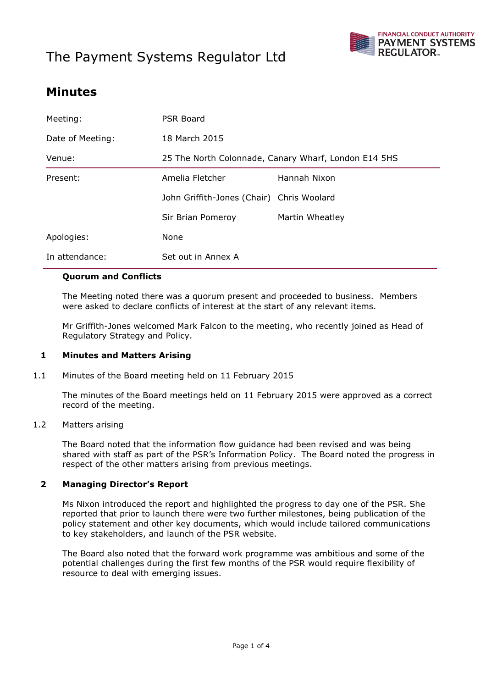# The Payment Systems Regulator Ltd



## **Minutes**

| Meeting:         | PSR Board                                            |                 |
|------------------|------------------------------------------------------|-----------------|
| Date of Meeting: | 18 March 2015                                        |                 |
| Venue:           | 25 The North Colonnade, Canary Wharf, London E14 5HS |                 |
| Present:         | Amelia Fletcher                                      | Hannah Nixon    |
|                  | John Griffith-Jones (Chair) Chris Woolard            |                 |
|                  | Sir Brian Pomeroy                                    | Martin Wheatley |
| Apologies:       | None                                                 |                 |
| In attendance:   | Set out in Annex A                                   |                 |

### **Quorum and Conflicts**

The Meeting noted there was a quorum present and proceeded to business. Members were asked to declare conflicts of interest at the start of any relevant items.

Mr Griffith-Jones welcomed Mark Falcon to the meeting, who recently joined as Head of Regulatory Strategy and Policy.

#### **1 Minutes and Matters Arising**

1.1 Minutes of the Board meeting held on 11 February 2015

The minutes of the Board meetings held on 11 February 2015 were approved as a correct record of the meeting.

### 1.2 Matters arising

The Board noted that the information flow guidance had been revised and was being shared with staff as part of the PSR's Information Policy. The Board noted the progress in respect of the other matters arising from previous meetings.

#### **2 Managing Director's Report**

Ms Nixon introduced the report and highlighted the progress to day one of the PSR. She reported that prior to launch there were two further milestones, being publication of the policy statement and other key documents, which would include tailored communications to key stakeholders, and launch of the PSR website.

The Board also noted that the forward work programme was ambitious and some of the potential challenges during the first few months of the PSR would require flexibility of resource to deal with emerging issues.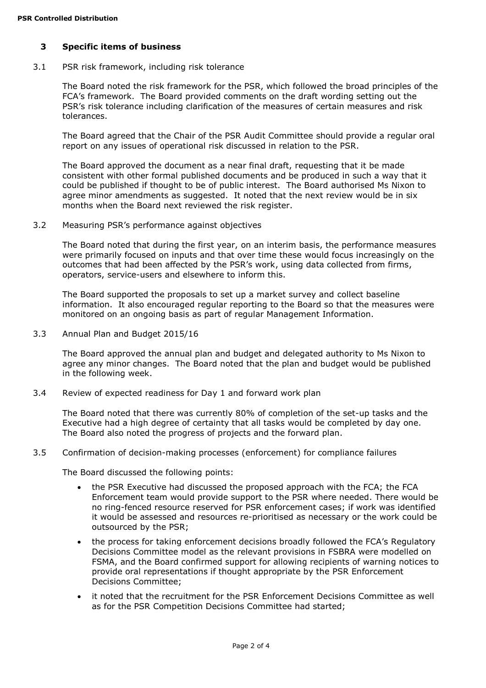### **3 Specific items of business**

3.1 PSR risk framework, including risk tolerance

The Board noted the risk framework for the PSR, which followed the broad principles of the FCA's framework. The Board provided comments on the draft wording setting out the PSR's risk tolerance including clarification of the measures of certain measures and risk tolerances.

The Board agreed that the Chair of the PSR Audit Committee should provide a regular oral report on any issues of operational risk discussed in relation to the PSR.

The Board approved the document as a near final draft, requesting that it be made consistent with other formal published documents and be produced in such a way that it could be published if thought to be of public interest. The Board authorised Ms Nixon to agree minor amendments as suggested. It noted that the next review would be in six months when the Board next reviewed the risk register.

#### 3.2 Measuring PSR's performance against objectives

The Board noted that during the first year, on an interim basis, the performance measures were primarily focused on inputs and that over time these would focus increasingly on the outcomes that had been affected by the PSR's work, using data collected from firms, operators, service-users and elsewhere to inform this.

The Board supported the proposals to set up a market survey and collect baseline information. It also encouraged regular reporting to the Board so that the measures were monitored on an ongoing basis as part of regular Management Information.

3.3 Annual Plan and Budget 2015/16

The Board approved the annual plan and budget and delegated authority to Ms Nixon to agree any minor changes. The Board noted that the plan and budget would be published in the following week.

3.4 Review of expected readiness for Day 1 and forward work plan

The Board noted that there was currently 80% of completion of the set-up tasks and the Executive had a high degree of certainty that all tasks would be completed by day one. The Board also noted the progress of projects and the forward plan.

#### 3.5 Confirmation of decision-making processes (enforcement) for compliance failures

The Board discussed the following points:

- the PSR Executive had discussed the proposed approach with the FCA; the FCA Enforcement team would provide support to the PSR where needed. There would be no ring-fenced resource reserved for PSR enforcement cases; if work was identified it would be assessed and resources re-prioritised as necessary or the work could be outsourced by the PSR;
- the process for taking enforcement decisions broadly followed the FCA's Regulatory Decisions Committee model as the relevant provisions in FSBRA were modelled on FSMA, and the Board confirmed support for allowing recipients of warning notices to provide oral representations if thought appropriate by the PSR Enforcement Decisions Committee;
- it noted that the recruitment for the PSR Enforcement Decisions Committee as well as for the PSR Competition Decisions Committee had started;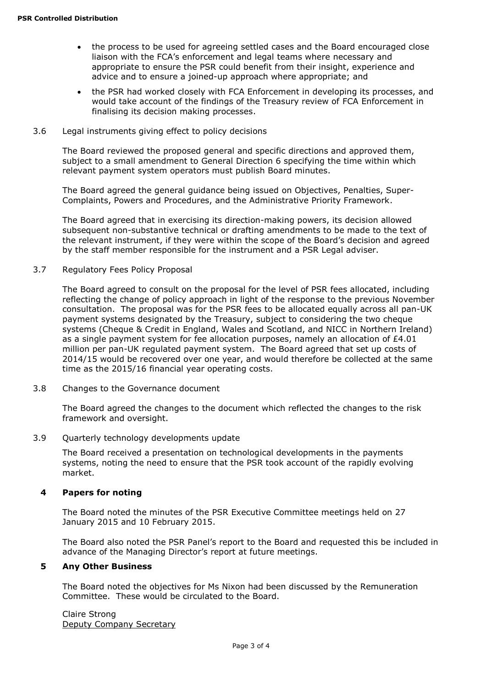- the process to be used for agreeing settled cases and the Board encouraged close liaison with the FCA's enforcement and legal teams where necessary and appropriate to ensure the PSR could benefit from their insight, experience and advice and to ensure a joined-up approach where appropriate; and
- the PSR had worked closely with FCA Enforcement in developing its processes, and would take account of the findings of the Treasury review of FCA Enforcement in finalising its decision making processes.
- 3.6 Legal instruments giving effect to policy decisions

The Board reviewed the proposed general and specific directions and approved them, subject to a small amendment to General Direction 6 specifying the time within which relevant payment system operators must publish Board minutes.

The Board agreed the general guidance being issued on Objectives, Penalties, Super-Complaints, Powers and Procedures, and the Administrative Priority Framework.

The Board agreed that in exercising its direction-making powers, its decision allowed subsequent non-substantive technical or drafting amendments to be made to the text of the relevant instrument, if they were within the scope of the Board's decision and agreed by the staff member responsible for the instrument and a PSR Legal adviser.

3.7 Regulatory Fees Policy Proposal

The Board agreed to consult on the proposal for the level of PSR fees allocated, including reflecting the change of policy approach in light of the response to the previous November consultation. The proposal was for the PSR fees to be allocated equally across all pan-UK payment systems designated by the Treasury, subject to considering the two cheque systems (Cheque & Credit in England, Wales and Scotland, and NICC in Northern Ireland) as a single payment system for fee allocation purposes, namely an allocation of £4.01 million per pan-UK regulated payment system. The Board agreed that set up costs of 2014/15 would be recovered over one year, and would therefore be collected at the same time as the 2015/16 financial year operating costs.

3.8 Changes to the Governance document

The Board agreed the changes to the document which reflected the changes to the risk framework and oversight.

3.9 Quarterly technology developments update

The Board received a presentation on technological developments in the payments systems, noting the need to ensure that the PSR took account of the rapidly evolving market.

#### **4 Papers for noting**

The Board noted the minutes of the PSR Executive Committee meetings held on 27 January 2015 and 10 February 2015.

The Board also noted the PSR Panel's report to the Board and requested this be included in advance of the Managing Director's report at future meetings.

#### **5 Any Other Business**

The Board noted the objectives for Ms Nixon had been discussed by the Remuneration Committee. These would be circulated to the Board.

Claire Strong Deputy Company Secretary